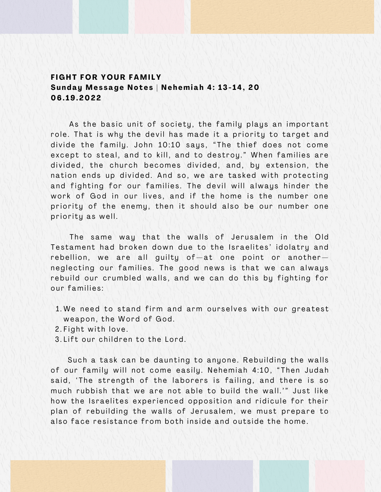## **F I G HT F O R Y O UR FA M I L Y** Sunday Message Notes | Nehemiah 4: 13-14, 20 **06 . 1 9 . 202 2**

As the basic unit of society, the family plays an important role. That is why the devil has made it a priority to target and divide the family. John 10:10 says, "The thief does not come except to steal, and to kill, and to destroy." When families are divided, the church becomes divided, and, by extension, the nation ends up divided. And so, we are tasked with protecting and fighting for our families. The devil will always hinder the work of God in our lives, and if the home is the number one priority of the enemy, then it should also be our number one priority as well.

The same way that the walls of Jerusalem in the Old Testament had broken down due to the Israelites' idolatry and rebellion, we are all guilty of  $-$  at one point or another  $$ neglecting our families. The good news is that we can always rebuild our crumbled walls, and we can do this by fighting for our families:

- 1.We need to stand firm and arm ourselves with our greatest weapon, the Word of God.
- 2.Fight with love.
- 3.Lift our children to the Lord.

Such a task can be daunting to anyone. Rebuilding the walls of our family will not come easily. Nehemiah 4:10, "Then Judah said, 'The strength of the laborers is failing, and there is so much rubbish that we are not able to build the wall.'" Just like how the Israelites experienced opposition and ridicule for their plan of rebuilding the walls of Jerusalem, we must prepare to also face resistance from both inside and outside the home.